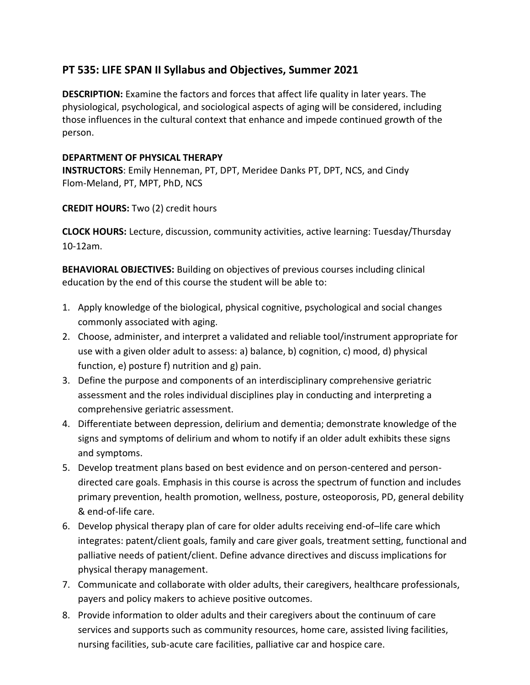## **PT 535: LIFE SPAN II Syllabus and Objectives, Summer 2021**

**DESCRIPTION:** Examine the factors and forces that affect life quality in later years. The physiological, psychological, and sociological aspects of aging will be considered, including those influences in the cultural context that enhance and impede continued growth of the person.

## **DEPARTMENT OF PHYSICAL THERAPY**

**INSTRUCTORS**: Emily Henneman, PT, DPT, Meridee Danks PT, DPT, NCS, and Cindy Flom-Meland, PT, MPT, PhD, NCS

## **CREDIT HOURS:** Two (2) credit hours

**CLOCK HOURS:** Lecture, discussion, community activities, active learning: Tuesday/Thursday 10-12am.

**BEHAVIORAL OBJECTIVES:** Building on objectives of previous courses including clinical education by the end of this course the student will be able to:

- 1. Apply knowledge of the biological, physical cognitive, psychological and social changes commonly associated with aging.
- 2. Choose, administer, and interpret a validated and reliable tool/instrument appropriate for use with a given older adult to assess: a) balance, b) cognition, c) mood, d) physical function, e) posture f) nutrition and g) pain.
- 3. Define the purpose and components of an interdisciplinary comprehensive geriatric assessment and the roles individual disciplines play in conducting and interpreting a comprehensive geriatric assessment.
- 4. Differentiate between depression, delirium and dementia; demonstrate knowledge of the signs and symptoms of delirium and whom to notify if an older adult exhibits these signs and symptoms.
- 5. Develop treatment plans based on best evidence and on person-centered and persondirected care goals. Emphasis in this course is across the spectrum of function and includes primary prevention, health promotion, wellness, posture, osteoporosis, PD, general debility & end-of-life care.
- 6. Develop physical therapy plan of care for older adults receiving end-of–life care which integrates: patent/client goals, family and care giver goals, treatment setting, functional and palliative needs of patient/client. Define advance directives and discuss implications for physical therapy management.
- 7. Communicate and collaborate with older adults, their caregivers, healthcare professionals, payers and policy makers to achieve positive outcomes.
- 8. Provide information to older adults and their caregivers about the continuum of care services and supports such as community resources, home care, assisted living facilities, nursing facilities, sub-acute care facilities, palliative car and hospice care.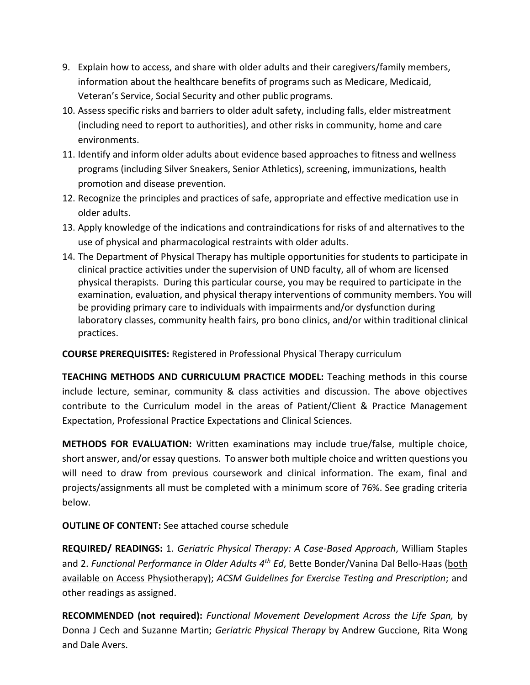- 9. Explain how to access, and share with older adults and their caregivers/family members, information about the healthcare benefits of programs such as Medicare, Medicaid, Veteran's Service, Social Security and other public programs.
- 10. Assess specific risks and barriers to older adult safety, including falls, elder mistreatment (including need to report to authorities), and other risks in community, home and care environments.
- 11. Identify and inform older adults about evidence based approaches to fitness and wellness programs (including Silver Sneakers, Senior Athletics), screening, immunizations, health promotion and disease prevention.
- 12. Recognize the principles and practices of safe, appropriate and effective medication use in older adults.
- 13. Apply knowledge of the indications and contraindications for risks of and alternatives to the use of physical and pharmacological restraints with older adults.
- 14. The Department of Physical Therapy has multiple opportunities for students to participate in clinical practice activities under the supervision of UND faculty, all of whom are licensed physical therapists. During this particular course, you may be required to participate in the examination, evaluation, and physical therapy interventions of community members. You will be providing primary care to individuals with impairments and/or dysfunction during laboratory classes, community health fairs, pro bono clinics, and/or within traditional clinical practices.

**COURSE PREREQUISITES:** Registered in Professional Physical Therapy curriculum

**TEACHING METHODS AND CURRICULUM PRACTICE MODEL:** Teaching methods in this course include lecture, seminar, community & class activities and discussion. The above objectives contribute to the Curriculum model in the areas of Patient/Client & Practice Management Expectation, Professional Practice Expectations and Clinical Sciences.

**METHODS FOR EVALUATION:** Written examinations may include true/false, multiple choice, short answer, and/or essay questions. To answer both multiple choice and written questions you will need to draw from previous coursework and clinical information. The exam, final and projects/assignments all must be completed with a minimum score of 76%. See grading criteria below.

## **OUTLINE OF CONTENT:** See attached course schedule

**REQUIRED/ READINGS:** 1. *Geriatric Physical Therapy: A Case-Based Approach*, William Staples and 2. *Functional Performance in Older Adults 4th Ed*, Bette Bonder/Vanina Dal Bello-Haas (both available on Access Physiotherapy); *ACSM Guidelines for Exercise Testing and Prescription*; and other readings as assigned.

**RECOMMENDED (not required):** *Functional Movement Development Across the Life Span,* by Donna J Cech and Suzanne Martin; *Geriatric Physical Therapy* by Andrew Guccione, Rita Wong and Dale Avers.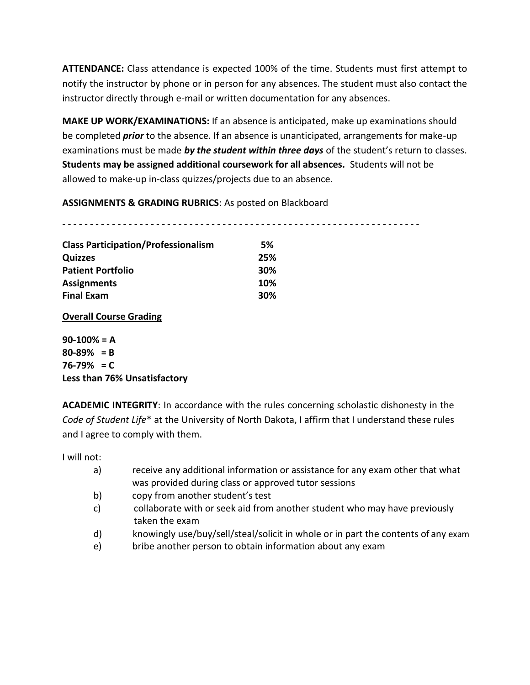**ATTENDANCE:** Class attendance is expected 100% of the time. Students must first attempt to notify the instructor by phone or in person for any absences. The student must also contact the instructor directly through e-mail or written documentation for any absences.

**MAKE UP WORK/EXAMINATIONS:** If an absence is anticipated, make up examinations should be completed *prior* to the absence. If an absence is unanticipated, arrangements for make-up examinations must be made *by the student within three days* of the student's return to classes. **Students may be assigned additional coursework for all absences.** Students will not be allowed to make-up in-class quizzes/projects due to an absence.

**ASSIGNMENTS & GRADING RUBRICS**: As posted on Blackboard

- - - - - - - - - - - - - - - - - - - - - - - - - - - - - - - - - - - - - - - - - - - - - - - - - - - - - - - - - - - - - - - - -

| <b>Class Participation/Professionalism</b> | 5%  |
|--------------------------------------------|-----|
| <b>Quizzes</b>                             | 25% |
| <b>Patient Portfolio</b>                   | 30% |
| <b>Assignments</b>                         | 10% |
| <b>Final Exam</b>                          | 30% |

**Overall Course Grading**

**90-100% = A 80-89% = B 76-79% = C Less than 76% Unsatisfactory**

**ACADEMIC INTEGRITY**: In accordance with the rules concerning scholastic dishonesty in the *Code of Student Life*\* at the University of North Dakota, I affirm that I understand these rules and I agree to comply with them.

I will not:

- a) receive any additional information or assistance for any exam other that what was provided during class or approved tutor sessions
- b) copy from another student's test
- c) collaborate with or seek aid from another student who may have previously taken the exam
- d) knowingly use/buy/sell/steal/solicit in whole or in part the contents of any exam
- e) bribe another person to obtain information about any exam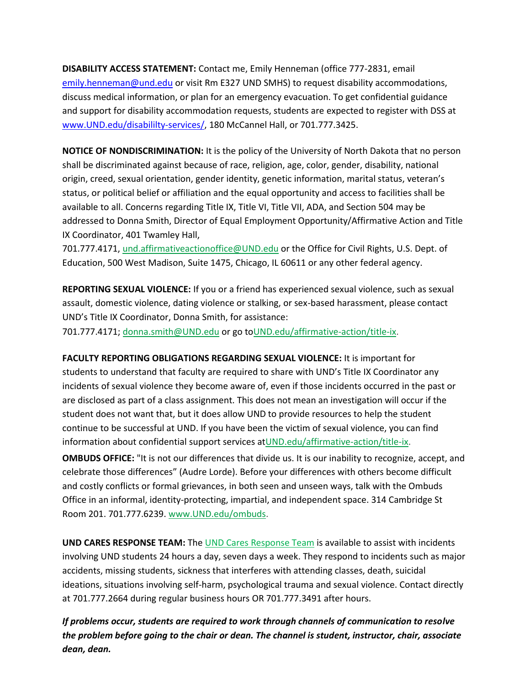**DISABILITY ACCESS STATEMENT:** Contact me, Emily Henneman (office 777-2831, email [emily.henneman@und.edu](mailto:emily.henneman@und.edu) or visit Rm E327 UND SMHS) to request disability accommodations, discuss medical information, or plan for an emergency evacuation. To get confidential guidance and support for disability accommodation requests, students are expected to register with DSS at [www.UND.edu/disabililty-services/, 1](http://www.und.edu/disabililty-services/)80 McCannel Hall, or 701.777.3425.

**NOTICE OF NONDISCRIMINATION:** It is the policy of the University of North Dakota that no person shall be discriminated against because of race, religion, age, color, gender, disability, national origin, creed, sexual orientation, gender identity, genetic information, marital status, veteran's status, or political belief or affiliation and the equal opportunity and access to facilities shall be available to all. Concerns regarding Title IX, Title VI, Title VII, ADA, and Section 504 may be addressed to Donna Smith, Director of Equal Employment Opportunity/Affirmative Action and Title IX Coordinator, 401 Twamley Hall,

701.777.4171, [und.affirmativeactionoffice@UND.edu](mailto:und.affirmativeactionoffice@UND.edu) or the Office for Civil Rights, U.S. Dept. of Education, 500 West Madison, Suite 1475, Chicago, IL 60611 or any other federal agency.

**REPORTING SEXUAL VIOLENCE:** If you or a friend has experienced sexual violence, such as sexual assault, domestic violence, dating violence or stalking, or sex-based harassment, please contact UND's Title IX Coordinator, Donna Smith, for assistance:

701.777.4171; [donna.smith@UND.edu](mailto:donna.smith@UND.edu) or go t[oUND.edu/affirmative-action/title-ix.](http://und.edu/affirmative-action/title-ix/index.cfm)

**FACULTY REPORTING OBLIGATIONS REGARDING SEXUAL VIOLENCE:** It is important for students to understand that faculty are required to share with UND's Title IX Coordinator any incidents of sexual violence they become aware of, even if those incidents occurred in the past or are disclosed as part of a class assignment. This does not mean an investigation will occur if the student does not want that, but it does allow UND to provide resources to help the student continue to be successful at UND. If you have been the victim of sexual violence, you can find information about confidential support services a[tUND.edu/affirmative-action/title-ix.](http://und.edu/affirmative-action/title-ix/index.cfm)

**OMBUDS OFFICE:** "It is not our differences that divide us. It is our inability to recognize, accept, and celebrate those differences" (Audre Lorde). Before your differences with others become difficult and costly conflicts or formal grievances, in both seen and unseen ways, talk with the Ombuds Office in an informal, identity-protecting, impartial, and independent space. 314 Cambridge St Room 201. 701.777.6239[. www.UND.edu/ombuds.](http://www.und.edu/ombuds)

**UND CARES RESPONSE TEAM:** The [UND Cares Response Team](http://und.edu/student-affairs/student-rights-responsibilities/care-team.cfm) is available to assist with incidents involving UND students 24 hours a day, seven days a week. They respond to incidents such as major accidents, missing students, sickness that interferes with attending classes, death, suicidal ideations, situations involving self-harm, psychological trauma and sexual violence. Contact directly at 701.777.2664 during regular business hours OR 701.777.3491 after hours.

*If problems occur, students are required to work through channels of communication to resolve the problem before going to the chair or dean. The channel is student, instructor, chair, associate dean, dean.*